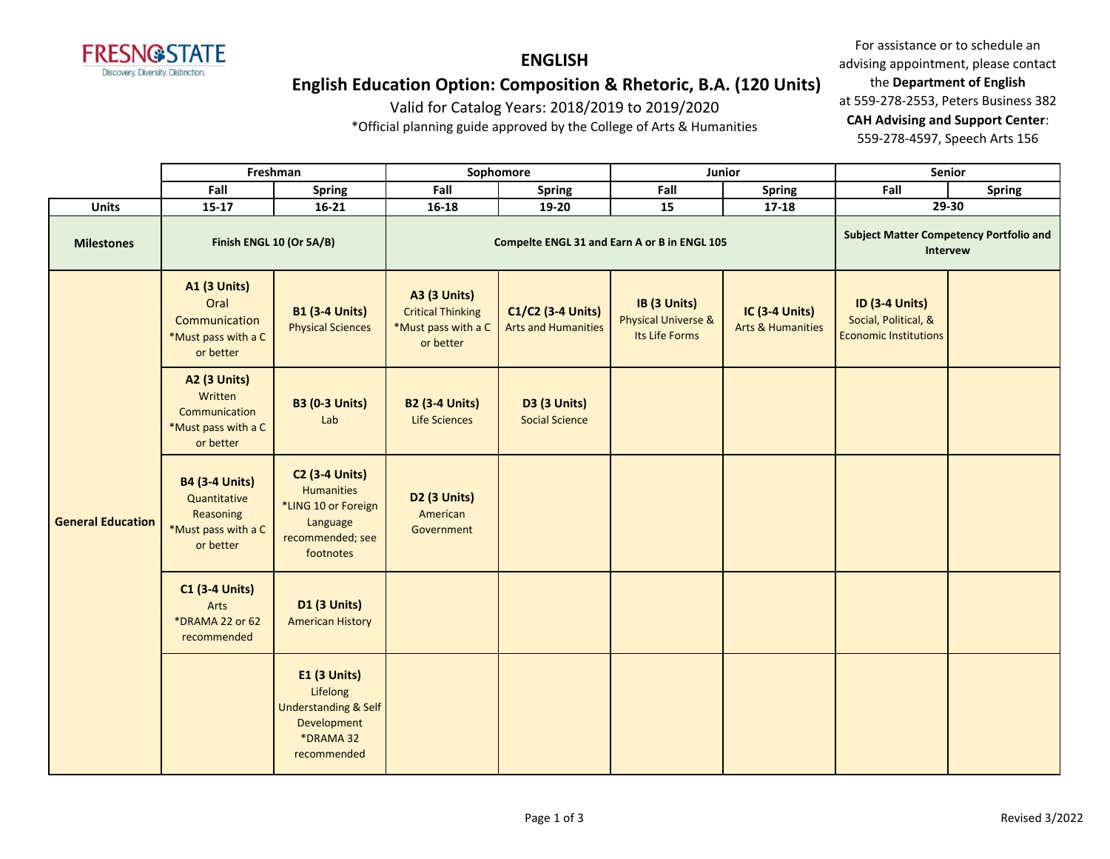

**ENGLISH**

# **English Education Option: Composition & Rhetoric, B.A. (120 Units)**

Valid for Catalog Years: 2018/2019 to 2019/2020

\*Official planning guide approved by the College of Arts & Humanities

For assistance or to schedule an advising appointment, please contact the **Department of English** at 559-278-2553, Peters Business 382 **CAH Advising and Support Center**: 559-278-4597, Speech Arts 156

|                          | Freshman                                                                               |                                                                                                                | Sophomore                                                                           |                                                 |                                                                  | Junior                                         | Senior                                                                        |               |
|--------------------------|----------------------------------------------------------------------------------------|----------------------------------------------------------------------------------------------------------------|-------------------------------------------------------------------------------------|-------------------------------------------------|------------------------------------------------------------------|------------------------------------------------|-------------------------------------------------------------------------------|---------------|
|                          | Fall                                                                                   | <b>Spring</b>                                                                                                  | Fall                                                                                | <b>Spring</b>                                   | Fall                                                             | <b>Spring</b>                                  | Fall                                                                          | <b>Spring</b> |
| <b>Units</b>             | $15 - 17$                                                                              | $16 - 21$                                                                                                      | 16-18                                                                               | 19-20                                           | 15                                                               | $17 - 18$                                      |                                                                               | 29-30         |
| <b>Milestones</b>        | Finish ENGL 10 (Or 5A/B)                                                               |                                                                                                                |                                                                                     | Compelte ENGL 31 and Earn A or B in ENGL 105    | <b>Subject Matter Competency Portfolio and</b><br>Intervew       |                                                |                                                                               |               |
|                          | <b>A1 (3 Units)</b><br>Oral<br>Communication<br>*Must pass with a C<br>or better       | <b>B1 (3-4 Units)</b><br><b>Physical Sciences</b>                                                              | <b>A3 (3 Units)</b><br><b>Critical Thinking</b><br>*Must pass with a C<br>or better | C1/C2 (3-4 Units)<br><b>Arts and Humanities</b> | IB (3 Units)<br><b>Physical Universe &amp;</b><br>Its Life Forms | IC (3-4 Units)<br><b>Arts &amp; Humanities</b> | <b>ID (3-4 Units)</b><br>Social, Political, &<br><b>Economic Institutions</b> |               |
|                          | <b>A2 (3 Units)</b><br>Written<br>Communication<br>*Must pass with a C<br>or better    | <b>B3 (0-3 Units)</b><br>Lab                                                                                   | <b>B2 (3-4 Units)</b><br><b>Life Sciences</b>                                       | <b>D3 (3 Units)</b><br><b>Social Science</b>    |                                                                  |                                                |                                                                               |               |
| <b>General Education</b> | <b>B4 (3-4 Units)</b><br>Quantitative<br>Reasoning<br>*Must pass with a C<br>or better | <b>C2 (3-4 Units)</b><br><b>Humanities</b><br>*LING 10 or Foreign<br>Language<br>recommended; see<br>footnotes | D2 (3 Units)<br>American<br>Government                                              |                                                 |                                                                  |                                                |                                                                               |               |
|                          | <b>C1 (3-4 Units)</b><br>Arts<br>*DRAMA 22 or 62<br>recommended                        | <b>D1 (3 Units)</b><br><b>American History</b>                                                                 |                                                                                     |                                                 |                                                                  |                                                |                                                                               |               |
|                          |                                                                                        | <b>E1 (3 Units)</b><br>Lifelong<br><b>Understanding &amp; Self</b><br>Development<br>*DRAMA 32<br>recommended  |                                                                                     |                                                 |                                                                  |                                                |                                                                               |               |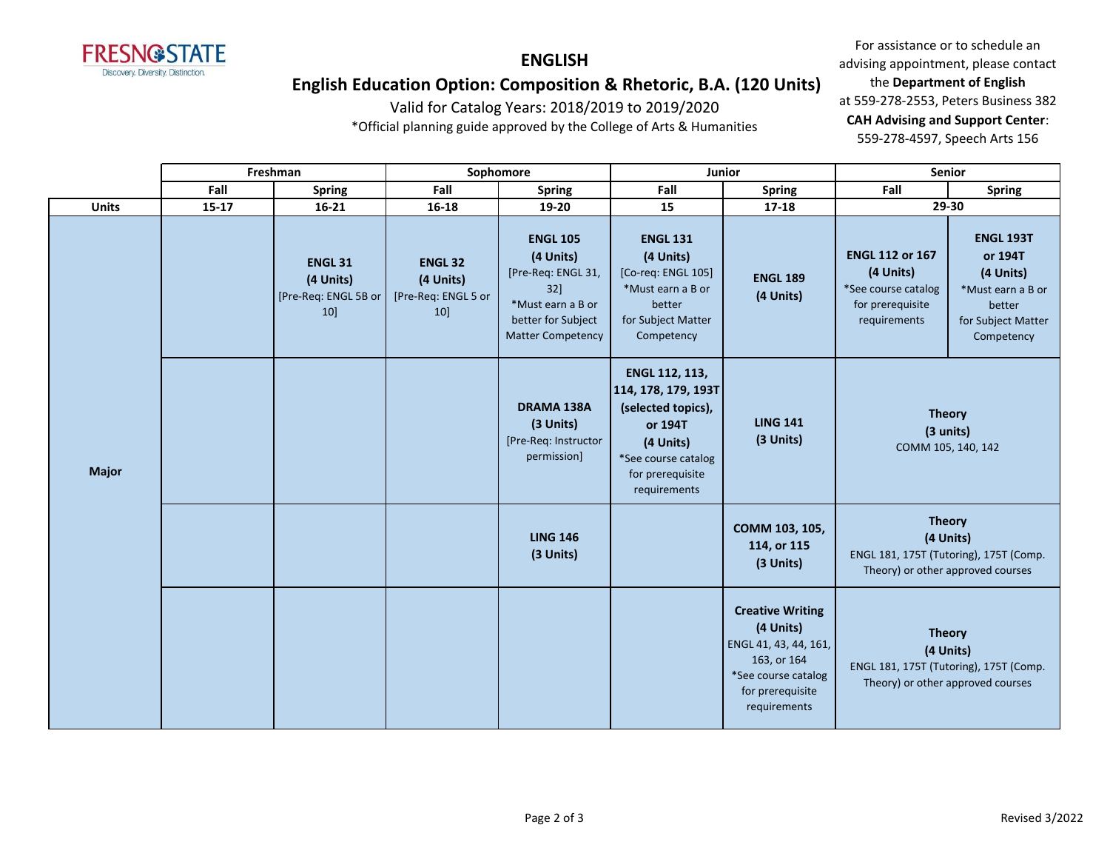

### **ENGLISH**

# **English Education Option: Composition & Rhetoric, B.A. (120 Units)**

Valid for Catalog Years: 2018/2019 to 2019/2020

\*Official planning guide approved by the College of Arts & Humanities

For assistance or to schedule an advising appointment, please contact the **Department of English** at 559-278-2553, Peters Business 382 **CAH Advising and Support Center**: 559-278-4597, Speech Arts 156

|              |           | Freshman                                                  |                                                          | Sophomore                                                                                                                        | Junior                                                                                                                                         |                                                                                                                                         | Senior                                                                                                                                                        |                                                                                                             |
|--------------|-----------|-----------------------------------------------------------|----------------------------------------------------------|----------------------------------------------------------------------------------------------------------------------------------|------------------------------------------------------------------------------------------------------------------------------------------------|-----------------------------------------------------------------------------------------------------------------------------------------|---------------------------------------------------------------------------------------------------------------------------------------------------------------|-------------------------------------------------------------------------------------------------------------|
|              | Fall      | <b>Spring</b>                                             | Fall                                                     | <b>Spring</b>                                                                                                                    | Fall                                                                                                                                           | <b>Spring</b>                                                                                                                           | Fall                                                                                                                                                          | <b>Spring</b>                                                                                               |
| <b>Units</b> | $15 - 17$ | $16 - 21$                                                 | 16-18                                                    | 19-20                                                                                                                            | 15                                                                                                                                             | $17 - 18$                                                                                                                               | 29-30                                                                                                                                                         |                                                                                                             |
|              |           | <b>ENGL 31</b><br>(4 Units)<br>[Pre-Req: ENGL 5B or<br>10 | <b>ENGL 32</b><br>(4 Units)<br>[Pre-Req: ENGL 5 or<br>10 | <b>ENGL 105</b><br>(4 Units)<br>[Pre-Req: ENGL 31,<br>32]<br>*Must earn a B or<br>better for Subject<br><b>Matter Competency</b> | <b>ENGL 131</b><br>(4 Units)<br>[Co-req: ENGL 105]<br>*Must earn a B or<br>better<br>for Subject Matter<br>Competency                          | <b>ENGL 189</b><br>(4 Units)                                                                                                            | <b>ENGL 112 or 167</b><br>(4 Units)<br>*See course catalog<br>for prerequisite<br>requirements                                                                | <b>ENGL 193T</b><br>or 194T<br>(4 Units)<br>*Must earn a B or<br>better<br>for Subject Matter<br>Competency |
| <b>Major</b> |           |                                                           |                                                          | <b>DRAMA 138A</b><br>(3 Units)<br>[Pre-Req: Instructor<br>permission]                                                            | ENGL 112, 113,<br>114, 178, 179, 193T<br>(selected topics),<br>or 194T<br>(4 Units)<br>*See course catalog<br>for prerequisite<br>requirements | <b>LING 141</b><br>(3 Units)                                                                                                            | <b>Theory</b><br>(3 units)<br>COMM 105, 140, 142<br><b>Theory</b><br>(4 Units)<br>ENGL 181, 175T (Tutoring), 175T (Comp.<br>Theory) or other approved courses |                                                                                                             |
|              |           |                                                           |                                                          | <b>LING 146</b><br>(3 Units)                                                                                                     |                                                                                                                                                | COMM 103, 105,<br>114, or 115<br>(3 Units)                                                                                              |                                                                                                                                                               |                                                                                                             |
|              |           |                                                           |                                                          |                                                                                                                                  |                                                                                                                                                | <b>Creative Writing</b><br>(4 Units)<br>ENGL 41, 43, 44, 161,<br>163, or 164<br>*See course catalog<br>for prerequisite<br>requirements | <b>Theory</b><br>(4 Units)<br>ENGL 181, 175T (Tutoring), 175T (Comp.<br>Theory) or other approved courses                                                     |                                                                                                             |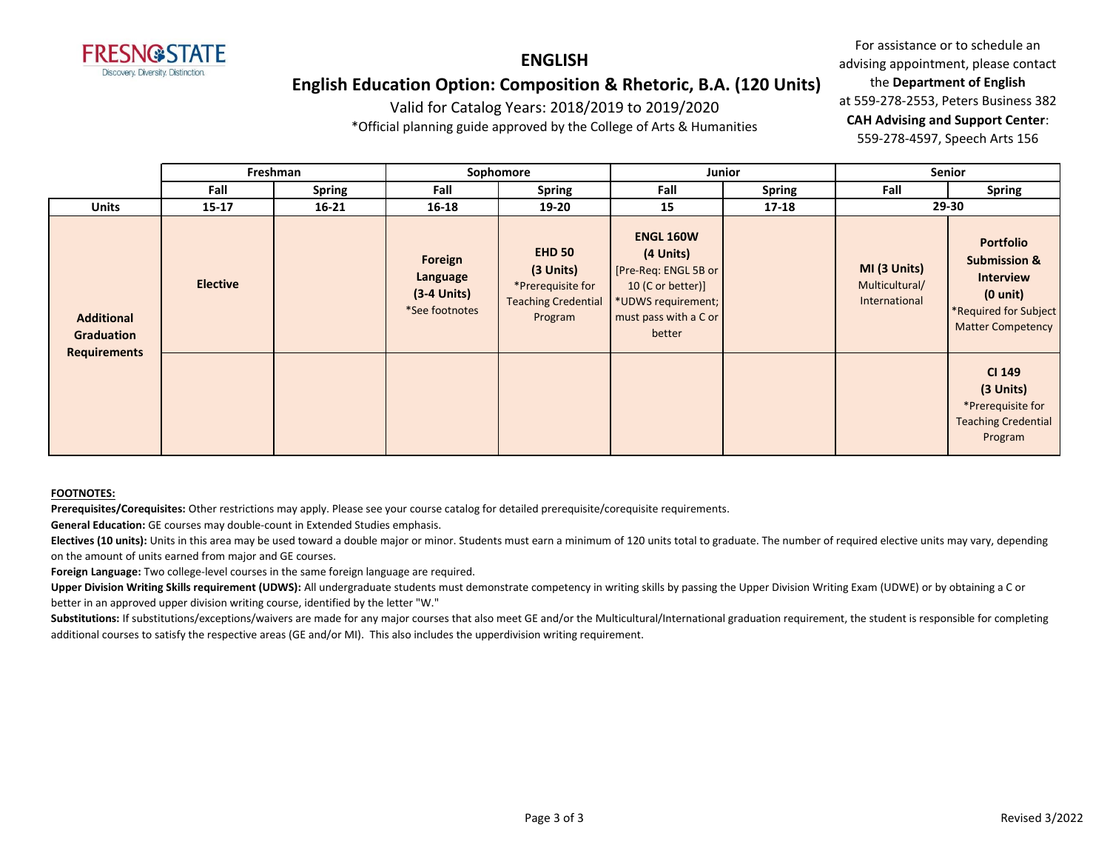

### **ENGLISH**

## **English Education Option: Composition & Rhetoric, B.A. (120 Units)**

Valid for Catalog Years: 2018/2019 to 2019/2020

\*Official planning guide approved by the College of Arts & Humanities

For assistance or to schedule an advising appointment, please contact the **Department of English** at 559-278-2553, Peters Business 382 **CAH Advising and Support Center**: 559-278-4597, Speech Arts 156

|                                 |                 | Freshman      | Sophomore<br><b>Junior</b>                             |                                                                                          | Senior                                                                                                                              |               |                                                 |                                                                                                                                            |
|---------------------------------|-----------------|---------------|--------------------------------------------------------|------------------------------------------------------------------------------------------|-------------------------------------------------------------------------------------------------------------------------------------|---------------|-------------------------------------------------|--------------------------------------------------------------------------------------------------------------------------------------------|
|                                 | Fall            | <b>Spring</b> | Fall                                                   | <b>Spring</b>                                                                            | Fall                                                                                                                                | <b>Spring</b> | Fall                                            | <b>Spring</b>                                                                                                                              |
| Units                           | $15 - 17$       | $16 - 21$     | $16 - 18$                                              | 19-20                                                                                    | 15                                                                                                                                  | $17-18$       |                                                 | 29-30                                                                                                                                      |
| <b>Additional</b><br>Graduation | <b>Elective</b> |               | Foreign<br>Language<br>$(3-4$ Units)<br>*See footnotes | <b>EHD 50</b><br>(3 Units)<br>*Prerequisite for<br><b>Teaching Credential</b><br>Program | <b>ENGL 160W</b><br>(4 Units)<br>[Pre-Req: ENGL 5B or<br>10 (C or better)]<br>*UDWS requirement;<br>must pass with a C or<br>better |               | MI (3 Units)<br>Multicultural/<br>International | <b>Portfolio</b><br><b>Submission &amp;</b><br><b>Interview</b><br>$(0 \text{ unit})$<br>*Required for Subject<br><b>Matter Competency</b> |
| <b>Requirements</b>             |                 |               |                                                        |                                                                                          |                                                                                                                                     |               |                                                 | CI 149<br>(3 Units)<br>*Prerequisite for<br><b>Teaching Credential</b><br>Program                                                          |

#### **FOOTNOTES:**

**Prerequisites/Corequisites:** Other restrictions may apply. Please see your course catalog for detailed prerequisite/corequisite requirements.

**General Education:** GE courses may double-count in Extended Studies emphasis.

Electives (10 units): Units in this area may be used toward a double major or minor. Students must earn a minimum of 120 units total to graduate. The number of required elective units may vary, depending on the amount of units earned from major and GE courses.

**Foreign Language:** Two college-level courses in the same foreign language are required.

Upper Division Writing Skills requirement (UDWS): All undergraduate students must demonstrate competency in writing skills by passing the Upper Division Writing Exam (UDWE) or by obtaining a C or better in an approved upper division writing course, identified by the letter "W."

Substitutions: If substitutions/exceptions/waivers are made for any major courses that also meet GE and/or the Multicultural/International graduation requirement, the student is responsible for completing additional courses to satisfy the respective areas (GE and/or MI). This also includes the upperdivision writing requirement.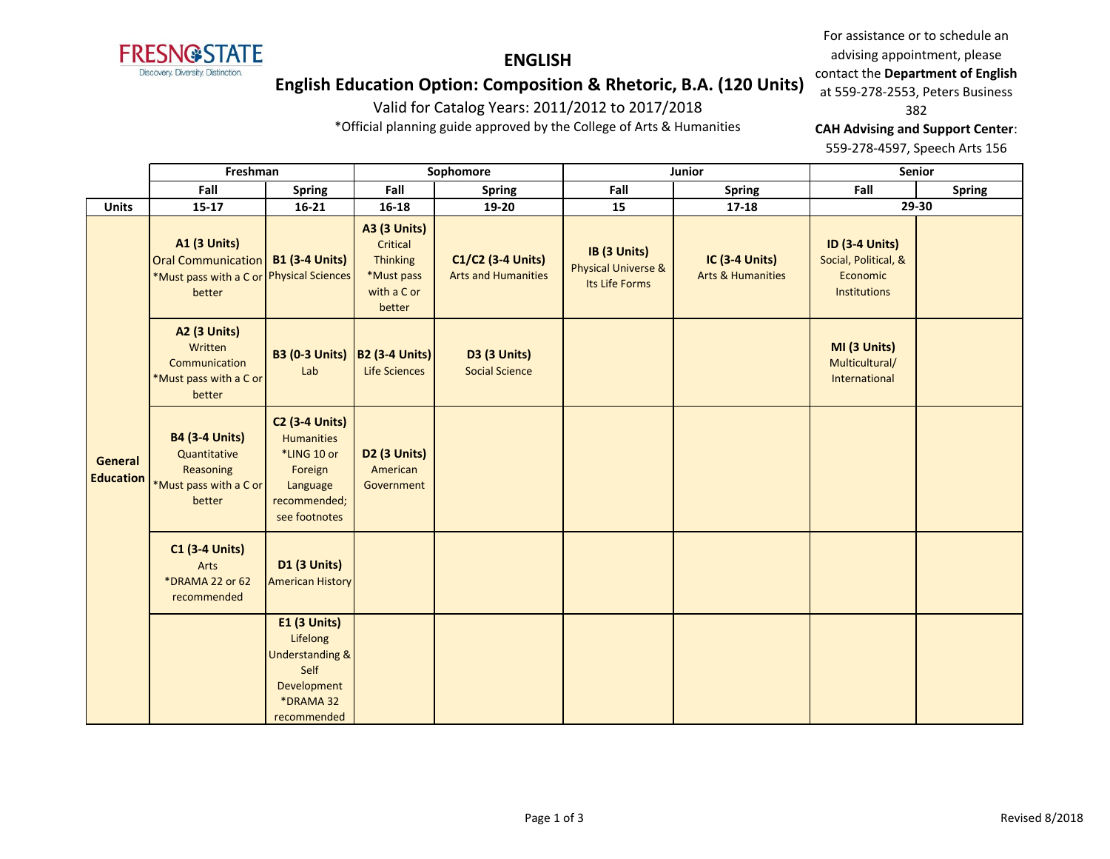**FRESN@STATE** Discovery. Diversity. Distinction.

# **ENGLISH English Education Option: Composition & Rhetoric, B.A. (120 Units)**

Valid for Catalog Years: 2011/2012 to 2017/2018 \*Official planning guide approved by the College of Arts & Humanities

For assistance or to schedule an advising appointment, please contact the **Department of English** at 559-278-2553, Peters Business

#### 382

**CAH Advising and Support Center**:

559-278-4597, Speech Arts 156

|                             | Freshman                                                                                               |                                                                                                                   | Sophomore                                                                                 |                                                 |                                                                  | Junior                                                | Senior                                                                    |               |
|-----------------------------|--------------------------------------------------------------------------------------------------------|-------------------------------------------------------------------------------------------------------------------|-------------------------------------------------------------------------------------------|-------------------------------------------------|------------------------------------------------------------------|-------------------------------------------------------|---------------------------------------------------------------------------|---------------|
|                             | Fall                                                                                                   | <b>Spring</b>                                                                                                     | Fall                                                                                      | <b>Spring</b>                                   | Fall                                                             | <b>Spring</b>                                         | Fall                                                                      | <b>Spring</b> |
| <b>Units</b>                | $15-17$                                                                                                | $16 - 21$                                                                                                         | $16 - 18$                                                                                 | 19-20                                           | 15                                                               | $17 - 18$                                             | 29-30                                                                     |               |
|                             | <b>A1 (3 Units)</b><br><b>Oral Communication</b><br>*Must pass with a C or Physical Sciences<br>better | <b>B1 (3-4 Units)</b>                                                                                             | <b>A3 (3 Units)</b><br>Critical<br><b>Thinking</b><br>*Must pass<br>with a C or<br>better | C1/C2 (3-4 Units)<br><b>Arts and Humanities</b> | IB (3 Units)<br><b>Physical Universe &amp;</b><br>Its Life Forms | <b>IC (3-4 Units)</b><br><b>Arts &amp; Humanities</b> | <b>ID (3-4 Units)</b><br>Social, Political, &<br>Economic<br>Institutions |               |
|                             | <b>A2 (3 Units)</b><br>Written<br>Communication<br>*Must pass with a C or<br>better                    | <b>B3 (0-3 Units)</b><br>Lab                                                                                      | <b>B2 (3-4 Units)</b><br>Life Sciences                                                    | <b>D3 (3 Units)</b><br><b>Social Science</b>    |                                                                  |                                                       | MI (3 Units)<br>Multicultural/<br>International                           |               |
| General<br><b>Education</b> | <b>B4 (3-4 Units)</b><br>Quantitative<br>Reasoning<br>*Must pass with a C or<br>better                 | <b>C2 (3-4 Units)</b><br><b>Humanities</b><br>*LING 10 or<br>Foreign<br>Language<br>recommended;<br>see footnotes | D <sub>2</sub> (3 Units)<br>American<br>Government                                        |                                                 |                                                                  |                                                       |                                                                           |               |
|                             | <b>C1 (3-4 Units)</b><br>Arts<br>*DRAMA 22 or 62<br>recommended                                        | <b>D1 (3 Units)</b><br><b>American History</b>                                                                    |                                                                                           |                                                 |                                                                  |                                                       |                                                                           |               |
|                             |                                                                                                        | <b>E1 (3 Units)</b><br>Lifelong<br><b>Understanding &amp;</b><br>Self<br>Development<br>*DRAMA 32<br>recommended  |                                                                                           |                                                 |                                                                  |                                                       |                                                                           |               |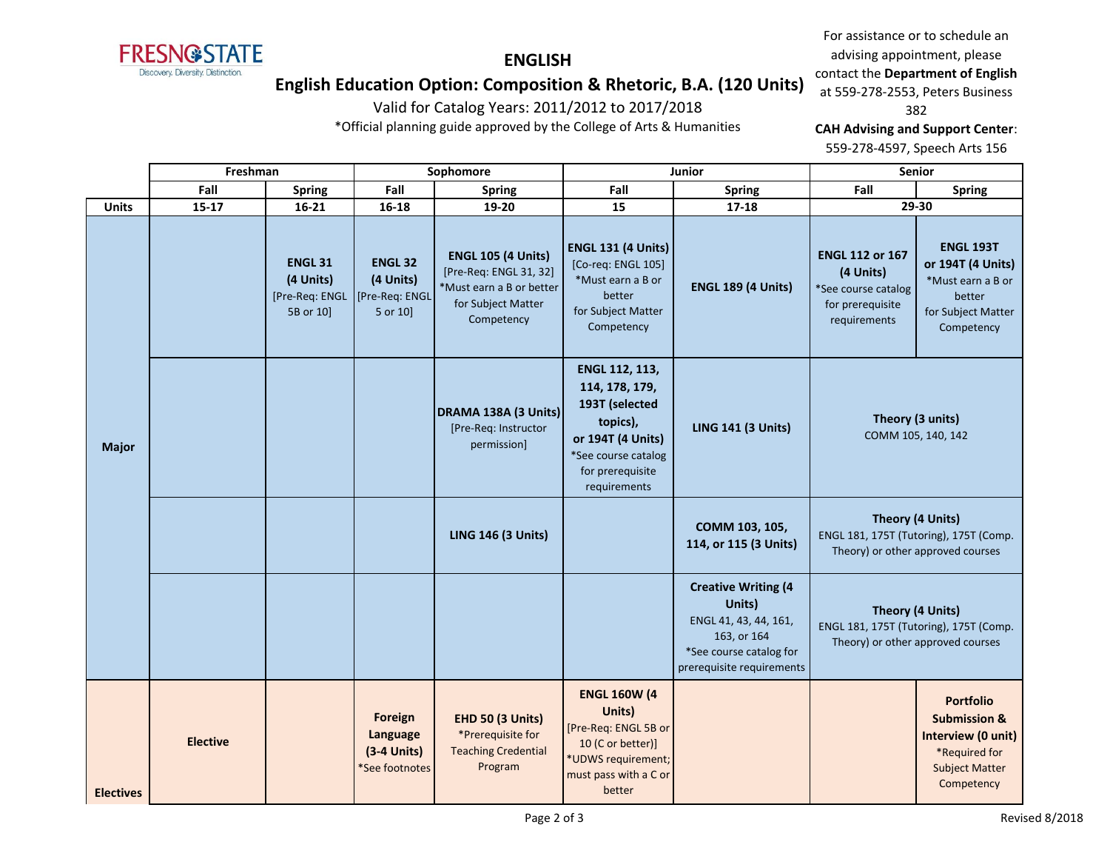**FRESN@STATE** Discovery. Diversity. Distinction.

For assistance or to schedule an advising appointment, please contact the **Department of English** at 559-278-2553, Peters Business 382

# **English Education Option: Composition & Rhetoric, B.A. (120 Units)**

**ENGLISH**

Valid for Catalog Years: 2011/2012 to 2017/2018

\*Official planning guide approved by the College of Arts & Humanities

**CAH Advising and Support Center**:

559-278-4597, Speech Arts 156

|                  | Freshman        |                                                            | Sophomore                                                     |                                                                                                                     |                                                                                                                                                | Junior                                                                                                                               | <b>Senior</b>                                                                                  |                                                                                                                           |
|------------------|-----------------|------------------------------------------------------------|---------------------------------------------------------------|---------------------------------------------------------------------------------------------------------------------|------------------------------------------------------------------------------------------------------------------------------------------------|--------------------------------------------------------------------------------------------------------------------------------------|------------------------------------------------------------------------------------------------|---------------------------------------------------------------------------------------------------------------------------|
|                  | Fall            | <b>Spring</b>                                              | Fall                                                          | <b>Spring</b>                                                                                                       | Fall                                                                                                                                           | <b>Spring</b>                                                                                                                        | Fall                                                                                           | <b>Spring</b>                                                                                                             |
| <b>Units</b>     | $15 - 17$       | $16 - 21$                                                  | 16-18                                                         | 19-20                                                                                                               | 15                                                                                                                                             | $17 - 18$                                                                                                                            |                                                                                                | 29-30                                                                                                                     |
| <b>Major</b>     |                 | <b>ENGL 31</b><br>(4 Units)<br>[Pre-Req: ENGL<br>5B or 10] | <b>ENGL 32</b><br>(4 Units)<br>[Pre-Req: ENGL<br>5 or 10]     | <b>ENGL 105 (4 Units)</b><br>[Pre-Req: ENGL 31, 32]<br>*Must earn a B or better<br>for Subject Matter<br>Competency | <b>ENGL 131 (4 Units)</b><br>[Co-req: ENGL 105]<br>*Must earn a B or<br>better<br>for Subject Matter<br>Competency                             | <b>ENGL 189 (4 Units)</b>                                                                                                            | <b>ENGL 112 or 167</b><br>(4 Units)<br>*See course catalog<br>for prerequisite<br>requirements | <b>ENGL 193T</b><br>or 194T (4 Units)<br>*Must earn a B or<br>better<br>for Subject Matter<br>Competency                  |
|                  |                 |                                                            |                                                               | DRAMA 138A (3 Units)<br>[Pre-Req: Instructor<br>permission]                                                         | ENGL 112, 113,<br>114, 178, 179,<br>193T (selected<br>topics),<br>or 194T (4 Units)<br>*See course catalog<br>for prerequisite<br>requirements | <b>LING 141 (3 Units)</b>                                                                                                            |                                                                                                | Theory (3 units)<br>COMM 105, 140, 142                                                                                    |
|                  |                 |                                                            |                                                               | <b>LING 146 (3 Units)</b>                                                                                           |                                                                                                                                                | COMM 103, 105,<br>114, or 115 (3 Units)                                                                                              | ENGL 181, 175T (Tutoring), 175T (Comp.                                                         | Theory (4 Units)<br>Theory) or other approved courses                                                                     |
|                  |                 |                                                            |                                                               |                                                                                                                     |                                                                                                                                                | <b>Creative Writing (4</b><br>Units)<br>ENGL 41, 43, 44, 161,<br>163, or 164<br>*See course catalog for<br>prerequisite requirements |                                                                                                | Theory (4 Units)<br>ENGL 181, 175T (Tutoring), 175T (Comp.<br>Theory) or other approved courses                           |
| <b>Electives</b> | <b>Elective</b> |                                                            | <b>Foreign</b><br>Language<br>$(3-4$ Units)<br>*See footnotes | <b>EHD 50 (3 Units)</b><br>*Prerequisite for<br><b>Teaching Credential</b><br>Program                               | <b>ENGL 160W (4</b><br>Units)<br>[Pre-Req: ENGL 5B or<br>10 (C or better)]<br>*UDWS requirement;<br>must pass with a C or<br>better            |                                                                                                                                      |                                                                                                | <b>Portfolio</b><br><b>Submission &amp;</b><br>Interview (0 unit)<br>*Required for<br><b>Subject Matter</b><br>Competency |